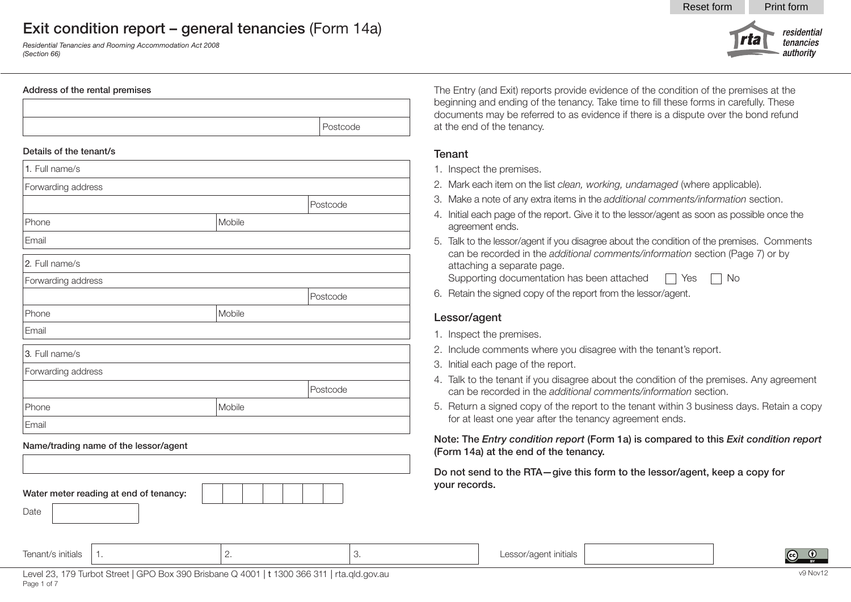*Residential Tenancies and Rooming Accommodation Act 2008 (Section 66)*

#### Address of the rental premises



#### Details of the tenant/s

| 1. Full name/s     |        |          |
|--------------------|--------|----------|
| Forwarding address |        |          |
|                    |        | Postcode |
| Phone              | Mobile |          |
| Email              |        |          |
| 2. Full name/s     |        |          |
| Forwarding address |        |          |
|                    |        | Postcode |
| Phone              | Mobile |          |
| Email              |        |          |
| 3. Full name/s     |        |          |
| Forwarding address |        |          |
|                    |        | Postcode |
| Phone              | Mobile |          |
| Email              |        |          |
|                    |        |          |

#### Name/trading name of the lessor/agent



The Entry (and Exit) reports provide evidence of the condition of the premises at the beginning and ending of the tenancy. Take time to fill these forms in carefully. These documents may be referred to as evidence if there is a dispute over the bond refund at the end of the tenancy.

Reset form Print form

rta

residential

tenancies authority

#### **Tenant**

- 1. Inspect the premises.
- 2. Mark each item on the list *clean, working, undamaged* (where applicable).
- 3. Make a note of any extra items in the *additional comments/information* section.
- 4. Initial each page of the report. Give it to the lessor/agent as soon as possible once the agreement ends.
- 5. Talk to the lessor/agent if you disagree about the condition of the premises. Comments can be recorded in the *additional comments/information* section (Page 7) or by attaching a separate page.
- Supporting documentation has been attached  $\Box$  Yes  $\Box$  No
- 6. Retain the signed copy of the report from the lessor/agent.

#### Lessor/agent

- 1. Inspect the premises.
- 2. Include comments where you disagree with the tenant's report.
- 3. Initial each page of the report.
- 4. Talk to the tenant if you disagree about the condition of the premises. Any agreement can be recorded in the *additional comments/information* section.
- 5. Return a signed copy of the report to the tenant within 3 business days. Retain a copy for at least one year after the tenancy agreement ends.

Note: The *Entry condition report* (Form 1a) is compared to this *Exit condition report* (Form 14a) at the end of the tenancy.

Do not send to the RTA—give this form to the lessor/agent, keep a copy for your records.

| : initials | $\overline{\phantom{0}}$ | dals<br>Ш<br>. . |  |  |
|------------|--------------------------|------------------|--|--|
|            |                          |                  |  |  |
|            |                          |                  |  |  |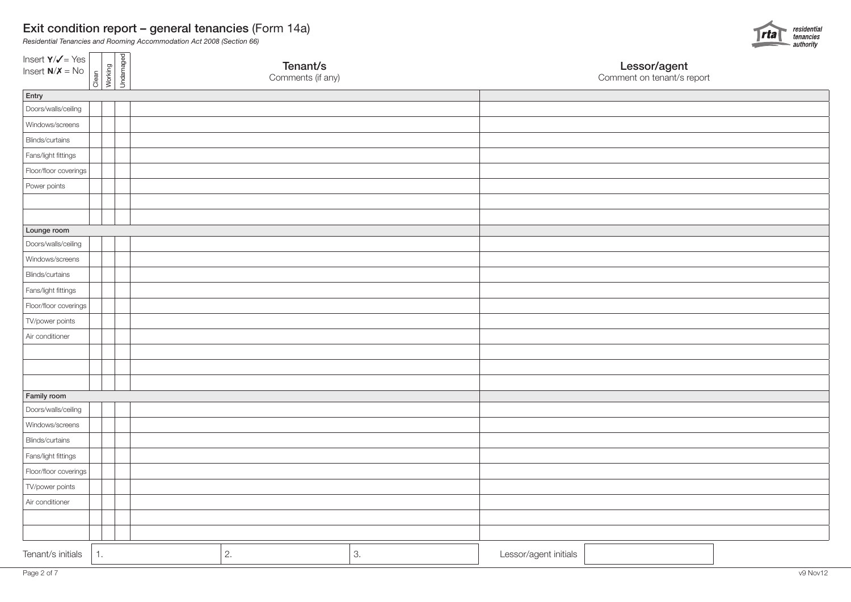

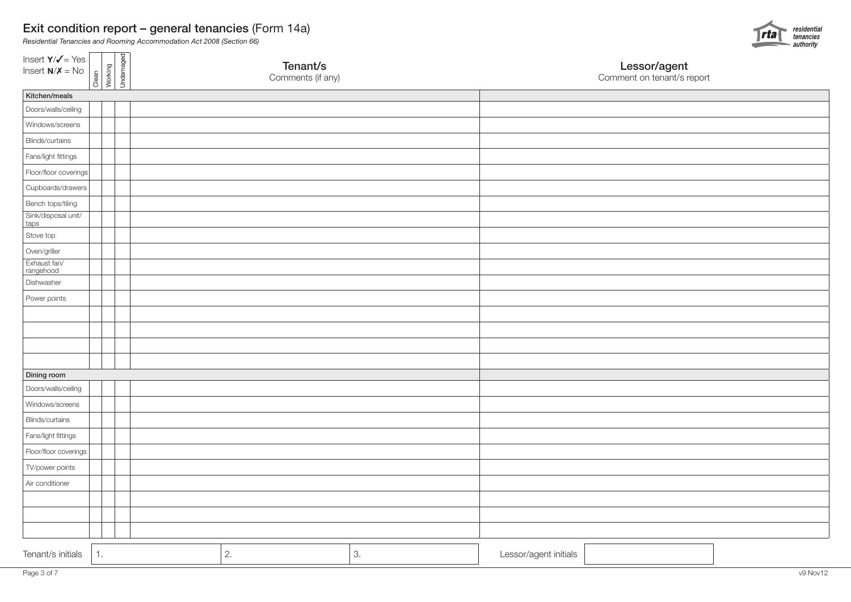

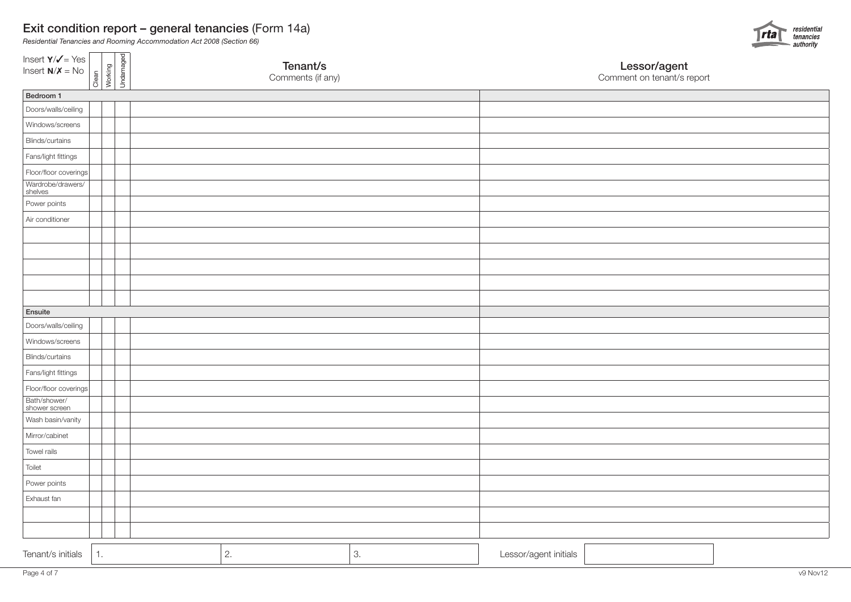

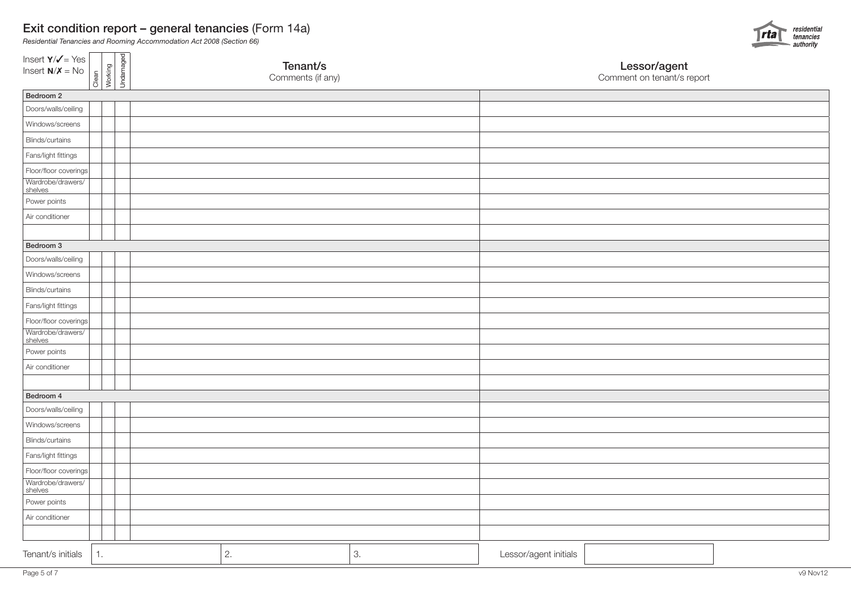

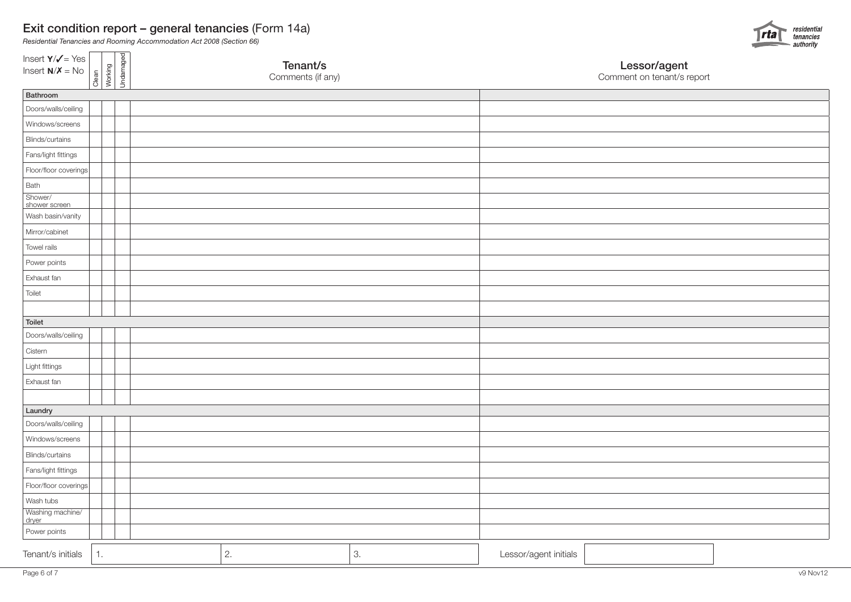*Residential Tenancies and Rooming Accommodation Act 2008 (Section 66)*



dryer

Bath Shower/

Toilet

Toilet

**Cistern**